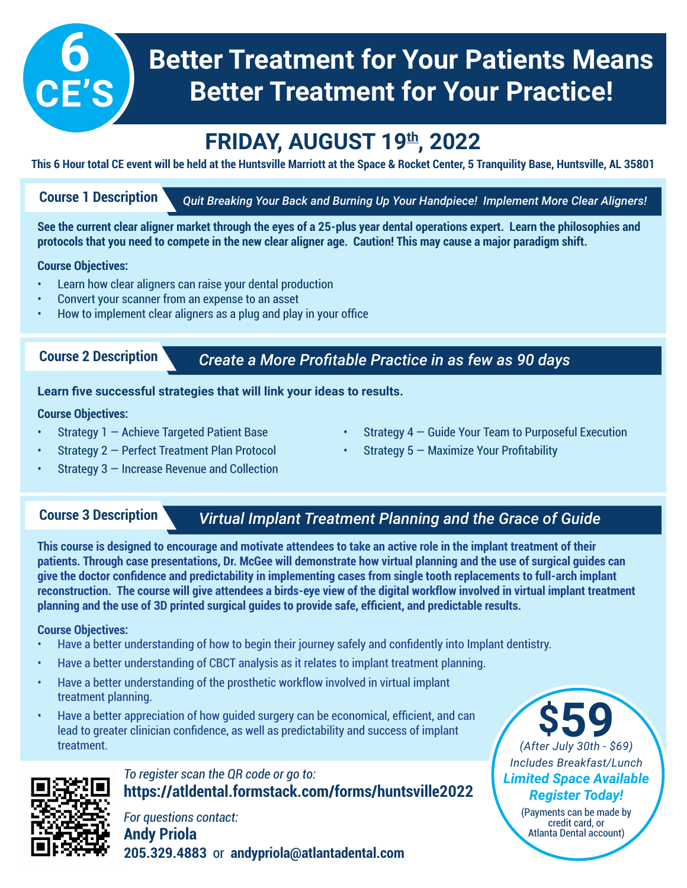# **Better Treatment for Your Patients Means Better Treatment for Your Practice!**

## **FRIDAY, AUGUST 19th, 2022**

**This 6 Hour total CE event will be held at the Huntsville Marriott at the Space & Rocket Center, 5 Tranquility Base, Huntsville, AL 35801**

### **Course 1 Description**

**6**

**CE'S**

*Quit Breaking Your Back and Burning Up Your Handpiece! Implement More Clear Aligners!*

**See the current clear aligner market through the eyes of a 25-plus year dental operations expert. Learn the philosophies and protocols that you need to compete in the new clear aligner age. Caution! This may cause a major paradigm shift.**

### **Course Objectives:**

- Learn how clear aligners can raise your dental production
- Convert your scanner from an expense to an asset
- How to implement clear aligners as a plug and play in your office

### **Course 2 Description**

## *Create a More Profitable Practice in as few as 90 days*

### **Learn five successful strategies that will link your ideas to results.**

### **Course Objectives:**

- **Strategy 1 Achieve Targeted Patient Base**
- Strategy 2 Perfect Treatment Plan Protocol
- **Strategy 3 Increase Revenue and Collection**

### **Course 3 Description**

## *Virtual Implant Treatment Planning and the Grace of Guide*

Strategy  $4 -$  Guide Your Team to Purposeful Execution

**Strategy 5 – Maximize Your Profitability** 

**This course is designed to encourage and motivate attendees to take an active role in the implant treatment of their patients. Through case presentations, Dr. McGee will demonstrate how virtual planning and the use of surgical guides can give the doctor confidence and predictability in implementing cases from single tooth replacements to full-arch implant reconstruction. The course will give attendees a birds-eye view of the digital workflow involved in virtual implant treatment planning and the use of 3D printed surgical guides to provide safe, efficient, and predictable results.**

### **Course Objectives:**

- Have a better understanding of how to begin their journey safely and confidently into Implant dentistry.
- Have a better understanding of CBCT analysis as it relates to implant treatment planning.
- Have a better understanding of the prosthetic workflow involved in virtual implant treatment planning.
- Have a better appreciation of how guided surgery can be economical, efficient, and can lead to greater clinician confidence, as well as predictability and success of implant treatment.



## *To register scan the QR code or go to:* **https://atldental.formstack.com/forms/huntsville2022**

*For questions contact:* **Andy Priola 205.329.4883** or **andypriola@atlantadental.com**

## **\$59** *(After July 30th - \$69) Includes Breakfast/Lunch Limited Space Available Register Today!*

(Payments can be made by credit card, or Atlanta Dental account)